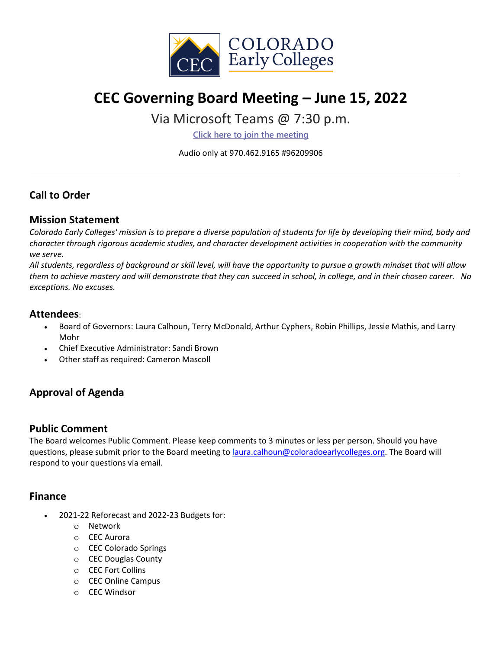

# **CEC Governing Board Meeting – June 15, 2022**

## Via Microsoft Teams @ 7:30 p.m.

**[Click here to join the meeting](https://teams.microsoft.com/l/meetup-join/19%3ameeting_NzlmMmYzYTQtZjAyZS00N2MxLTg5Y2EtZjY1NmEzNDAyMzJl%40thread.v2/0?context=%7b%22Tid%22%3a%22756e5b19-b4c4-4dc1-ae63-693179768af4%22%2c%22Oid%22%3a%22ffbf9d26-5ca2-4104-9e70-09b8cf3093f9%22%7d)**

Audio only at 970.462.9165 #96209906

### **Call to Order**

#### **Mission Statement**

*Colorado Early Colleges' mission is to prepare a diverse population of students for life by developing their mind, body and character through rigorous academic studies, and character development activities in cooperation with the community we serve.*

*All students, regardless of background or skill level, will have the opportunity to pursue a growth mindset that will allow them to achieve mastery and will demonstrate that they can succeed in school, in college, and in their chosen career. No exceptions. No excuses.*

#### **Attendees**:

- Board of Governors: Laura Calhoun, Terry McDonald, Arthur Cyphers, Robin Phillips, Jessie Mathis, and Larry Mohr
- Chief Executive Administrator: Sandi Brown
- Other staff as required: Cameron Mascoll

## **Approval of Agenda**

#### **Public Comment**

The Board welcomes Public Comment. Please keep comments to 3 minutes or less per person. Should you have questions, please submit prior to the Board meeting to [laura.calhoun@coloradoearlycolleges.org.](mailto:laura.calhoun@coloradoearlycolleges.org) The Board will respond to your questions via email.

#### **Finance**

- 2021-22 Reforecast and 2022-23 Budgets for:
	- o Network
	- o CEC Aurora
	- o CEC Colorado Springs
	- o CEC Douglas County
	- o CEC Fort Collins
	- o CEC Online Campus
	- o CEC Windsor